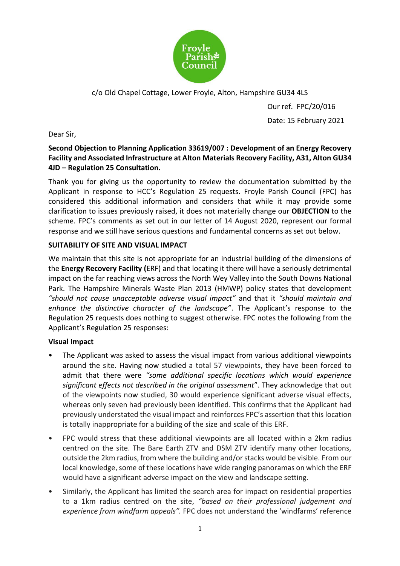

c/o Old Chapel Cottage, Lower Froyle, Alton, Hampshire GU34 4LS

Our ref. FPC/20/016 Date: 15 February 2021

Dear Sir,

# **Second Objection to Planning Application 33619/007 : Development of an Energy Recovery Facility and Associated Infrastructure at Alton Materials Recovery Facility, A31, Alton GU34 4JD – Regulation 25 Consultation.**

Thank you for giving us the opportunity to review the documentation submitted by the Applicant in response to HCC's Regulation 25 requests. Froyle Parish Council (FPC) has considered this additional information and considers that while it may provide some clarification to issues previously raised, it does not materially change our **OBJECTION** to the scheme. FPC's comments as set out in our letter of 14 August 2020, represent our formal response and we still have serious questions and fundamental concerns as set out below.

# **SUITABILITY OF SITE AND VISUAL IMPACT**

We maintain that this site is not appropriate for an industrial building of the dimensions of the **Energy Recovery Facility (**ERF) and that locating it there will have a seriously detrimental impact on the far reaching views across the North Wey Valley into the South Downs National Park. The Hampshire Minerals Waste Plan 2013 (HMWP) policy states that development *"should not cause unacceptable adverse visual impact"* and that it *"should maintain and enhance the distinctive character of the landscape"*. The Applicant's response to the Regulation 25 requests does nothing to suggest otherwise. FPC notes the following from the Applicant's Regulation 25 responses:

# **Visual Impact**

- The Applicant was asked to assess the visual impact from various additional viewpoints around the site. Having now studied a total 57 viewpoints, they have been forced to admit that there were *"some additional specific locations which would experience significant effects not described in the original assessment*". They acknowledge that out of the viewpoints now studied, 30 would experience significant adverse visual effects, whereas only seven had previously been identified. This confirms that the Applicant had previously understated the visual impact and reinforces FPC's assertion that this location is totally inappropriate for a building of the size and scale of this ERF.
- FPC would stress that these additional viewpoints are all located within a 2km radius centred on the site. The Bare Earth ZTV and DSM ZTV identify many other locations, outside the 2km radius, from where the building and/or stacks would be visible. From our local knowledge, some of these locations have wide ranging panoramas on which the ERF would have a significant adverse impact on the view and landscape setting.
- Similarly, the Applicant has limited the search area for impact on residential properties to a 1km radius centred on the site, *"based on their professional judgement and experience from windfarm appeals".* FPC does not understand the 'windfarms' reference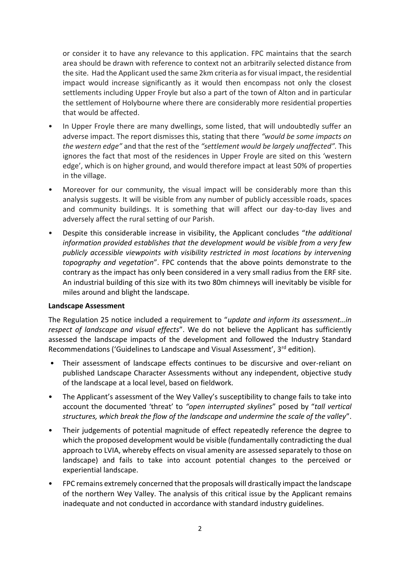or consider it to have any relevance to this application. FPC maintains that the search area should be drawn with reference to context not an arbitrarily selected distance from the site. Had the Applicant used the same 2km criteria as for visual impact, the residential impact would increase significantly as it would then encompass not only the closest settlements including Upper Froyle but also a part of the town of Alton and in particular the settlement of Holybourne where there are considerably more residential properties that would be affected.

- In Upper Froyle there are many dwellings, some listed, that will undoubtedly suffer an adverse impact. The report dismisses this, stating that there *"would be some impacts on the western edge"* and that the rest of the *"settlement would be largely unaffected".* This ignores the fact that most of the residences in Upper Froyle are sited on this 'western edge', which is on higher ground, and would therefore impact at least 50% of properties in the village.
- Moreover for our community, the visual impact will be considerably more than this analysis suggests. It will be visible from any number of publicly accessible roads, spaces and community buildings. It is something that will affect our day-to-day lives and adversely affect the rural setting of our Parish.
- Despite this considerable increase in visibility, the Applicant concludes "*the additional information provided establishes that the development would be visible from a very few publicly accessible viewpoints with visibility restricted in most locations by intervening topography and vegetation*". FPC contends that the above points demonstrate to the contrary as the impact has only been considered in a very small radius from the ERF site. An industrial building of this size with its two 80m chimneys will inevitably be visible for miles around and blight the landscape.

#### **Landscape Assessment**

The Regulation 25 notice included a requirement to "*update and inform its assessment…in respect of landscape and visual effects*". We do not believe the Applicant has sufficiently assessed the landscape impacts of the development and followed the Industry Standard Recommendations ('Guidelines to Landscape and Visual Assessment', 3<sup>rd</sup> edition).

- Their assessment of landscape effects continues to be discursive and over-reliant on published Landscape Character Assessments without any independent, objective study of the landscape at a local level, based on fieldwork.
- The Applicant's assessment of the Wey Valley's susceptibility to change fails to take into account the documented 'threat' to *"open interrupted skylines*" posed by "*tall vertical structures, which break the flow of the landscape and undermine the scale of the valley*".
- Their judgements of potential magnitude of effect repeatedly reference the degree to which the proposed development would be visible (fundamentally contradicting the dual approach to LVIA, whereby effects on visual amenity are assessed separately to those on landscape) and fails to take into account potential changes to the perceived or experiential landscape.
- FPC remains extremely concerned that the proposals will drastically impact the landscape of the northern Wey Valley. The analysis of this critical issue by the Applicant remains inadequate and not conducted in accordance with standard industry guidelines.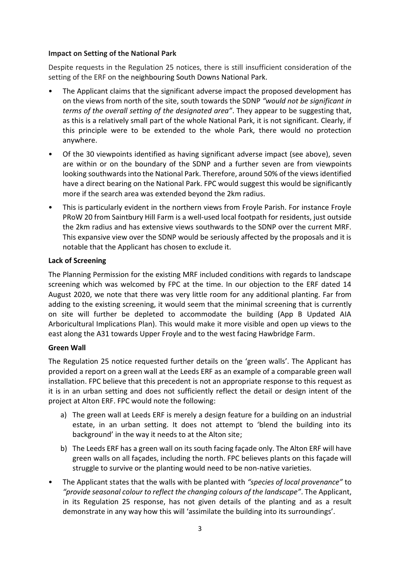### **Impact on Setting of the National Park**

Despite requests in the Regulation 25 notices, there is still insufficient consideration of the setting of the ERF on the neighbouring South Downs National Park.

- The Applicant claims that the significant adverse impact the proposed development has on the views from north of the site, south towards the SDNP *"would not be significant in terms of the overall setting of the designated area"*. They appear to be suggesting that, as this is a relatively small part of the whole National Park, it is not significant. Clearly, if this principle were to be extended to the whole Park, there would no protection anywhere.
- Of the 30 viewpoints identified as having significant adverse impact (see above), seven are within or on the boundary of the SDNP and a further seven are from viewpoints looking southwards into the National Park. Therefore, around 50% of the views identified have a direct bearing on the National Park. FPC would suggest this would be significantly more if the search area was extended beyond the 2km radius.
- This is particularly evident in the northern views from Froyle Parish. For instance Froyle PRoW 20 from Saintbury Hill Farm is a well-used local footpath for residents, just outside the 2km radius and has extensive views southwards to the SDNP over the current MRF. This expansive view over the SDNP would be seriously affected by the proposals and it is notable that the Applicant has chosen to exclude it.

# **Lack of Screening**

The Planning Permission for the existing MRF included conditions with regards to landscape screening which was welcomed by FPC at the time. In our objection to the ERF dated 14 August 2020, we note that there was very little room for any additional planting. Far from adding to the existing screening, it would seem that the minimal screening that is currently on site will further be depleted to accommodate the building (App B Updated AIA Arboricultural Implications Plan). This would make it more visible and open up views to the east along the A31 towards Upper Froyle and to the west facing Hawbridge Farm.

# **Green Wall**

The Regulation 25 notice requested further details on the 'green walls'. The Applicant has provided a report on a green wall at the Leeds ERF as an example of a comparable green wall installation. FPC believe that this precedent is not an appropriate response to this request as it is in an urban setting and does not sufficiently reflect the detail or design intent of the project at Alton ERF. FPC would note the following:

- a) The green wall at Leeds ERF is merely a design feature for a building on an industrial estate, in an urban setting. It does not attempt to 'blend the building into its background' in the way it needs to at the Alton site;
- b) The Leeds ERF has a green wall on its south facing façade only. The Alton ERF will have green walls on all façades, including the north. FPC believes plants on this façade will struggle to survive or the planting would need to be non-native varieties.
- The Applicant states that the walls with be planted with *"species of local provenance"* to *"provide seasonal colour to reflect the changing colours of the landscape"*. The Applicant, in its Regulation 25 response, has not given details of the planting and as a result demonstrate in any way how this will 'assimilate the building into its surroundings'.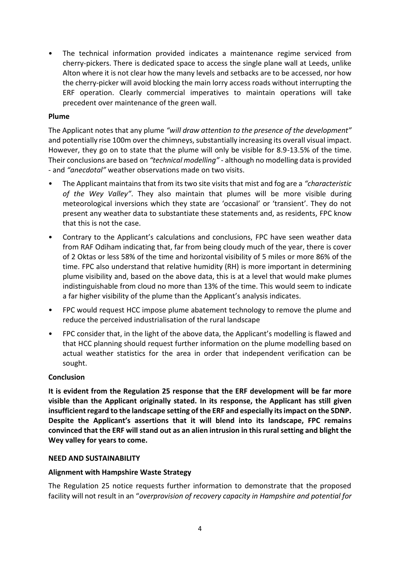• The technical information provided indicates a maintenance regime serviced from cherry-pickers. There is dedicated space to access the single plane wall at Leeds, unlike Alton where it is not clear how the many levels and setbacks are to be accessed, nor how the cherry-picker will avoid blocking the main lorry access roads without interrupting the ERF operation. Clearly commercial imperatives to maintain operations will take precedent over maintenance of the green wall.

### **Plume**

The Applicant notes that any plume *"will draw attention to the presence of the development"* and potentially rise 100m over the chimneys, substantially increasing its overall visual impact. However, they go on to state that the plume will only be visible for 8.9-13.5% of the time. Their conclusions are based on *"technical modelling"* - although no modelling data is provided - and *"anecdotal"* weather observations made on two visits.

- The Applicant maintains that from its two site visits that mist and fog are a *"characteristic of the Wey Valley"*. They also maintain that plumes will be more visible during meteorological inversions which they state are 'occasional' or 'transient'. They do not present any weather data to substantiate these statements and, as residents, FPC know that this is not the case.
- Contrary to the Applicant's calculations and conclusions, FPC have seen weather data from RAF Odiham indicating that, far from being cloudy much of the year, there is cover of 2 Oktas or less 58% of the time and horizontal visibility of 5 miles or more 86% of the time. FPC also understand that relative humidity (RH) is more important in determining plume visibility and, based on the above data, this is at a level that would make plumes indistinguishable from cloud no more than 13% of the time. This would seem to indicate a far higher visibility of the plume than the Applicant's analysis indicates.
- FPC would request HCC impose plume abatement technology to remove the plume and reduce the perceived industrialisation of the rural landscape
- FPC consider that, in the light of the above data, the Applicant's modelling is flawed and that HCC planning should request further information on the plume modelling based on actual weather statistics for the area in order that independent verification can be sought.

#### **Conclusion**

**It is evident from the Regulation 25 response that the ERF development will be far more visible than the Applicant originally stated. In its response, the Applicant has still given insufficient regard to the landscape setting of the ERF and especially its impact on the SDNP. Despite the Applicant's assertions that it will blend into its landscape, FPC remains convinced that the ERF will stand out as an alien intrusion in this rural setting and blight the Wey valley for years to come.**

#### **NEED AND SUSTAINABILITY**

#### **Alignment with Hampshire Waste Strategy**

The Regulation 25 notice requests further information to demonstrate that the proposed facility will not result in an "*overprovision of recovery capacity in Hampshire and potential for*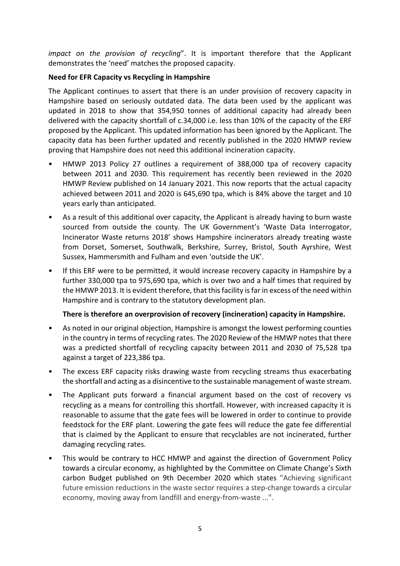*impact on the provision of recycling*". It is important therefore that the Applicant demonstrates the 'need' matches the proposed capacity.

# **Need for EFR Capacity vs Recycling in Hampshire**

The Applicant continues to assert that there is an under provision of recovery capacity in Hampshire based on seriously outdated data. The data been used by the applicant was updated in 2018 to show that 354,950 tonnes of additional capacity had already been delivered with the capacity shortfall of c.34,000 i.e. less than 10% of the capacity of the ERF proposed by the Applicant. This updated information has been ignored by the Applicant. The capacity data has been further updated and recently published in the 2020 HMWP review proving that Hampshire does not need this additional incineration capacity.

- HMWP 2013 Policy 27 outlines a requirement of 388,000 tpa of recovery capacity between 2011 and 2030. This requirement has recently been reviewed in the 2020 HMWP Review published on 14 January 2021. This now reports that the actual capacity achieved between 2011 and 2020 is 645,690 tpa, which is 84% above the target and 10 years early than anticipated.
- As a result of this additional over capacity, the Applicant is already having to burn waste sourced from outside the county. The UK Government's 'Waste Data Interrogator, Incinerator Waste returns 2018' shows Hampshire incinerators already treating waste from Dorset, Somerset, Southwalk, Berkshire, Surrey, Bristol, South Ayrshire, West Sussex, Hammersmith and Fulham and even 'outside the UK'.
- If this ERF were to be permitted, it would increase recovery capacity in Hampshire by a further 330,000 tpa to 975,690 tpa, which is over two and a half times that required by the HMWP 2013. It is evident therefore, that this facility is far in excess of the need within Hampshire and is contrary to the statutory development plan.

# **There is therefore an overprovision of recovery (incineration) capacity in Hampshire.**

- As noted in our original objection, Hampshire is amongst the lowest performing counties in the country in terms of recycling rates. The 2020 Review of the HMWP notes that there was a predicted shortfall of recycling capacity between 2011 and 2030 of 75,528 tpa against a target of 223,386 tpa.
- The excess ERF capacity risks drawing waste from recycling streams thus exacerbating the shortfall and acting as a disincentive to the sustainable management of waste stream.
- The Applicant puts forward a financial argument based on the cost of recovery vs recycling as a means for controlling this shortfall. However, with increased capacity it is reasonable to assume that the gate fees will be lowered in order to continue to provide feedstock for the ERF plant. Lowering the gate fees will reduce the gate fee differential that is claimed by the Applicant to ensure that recyclables are not incinerated, further damaging recycling rates.
- This would be contrary to HCC HMWP and against the direction of Government Policy towards a circular economy, as highlighted by the Committee on Climate Change's Sixth carbon Budget published on 9th December 2020 which states "Achieving significant future emission reductions in the waste sector requires a step-change towards a circular economy, moving away from landfill and energy-from-waste ...".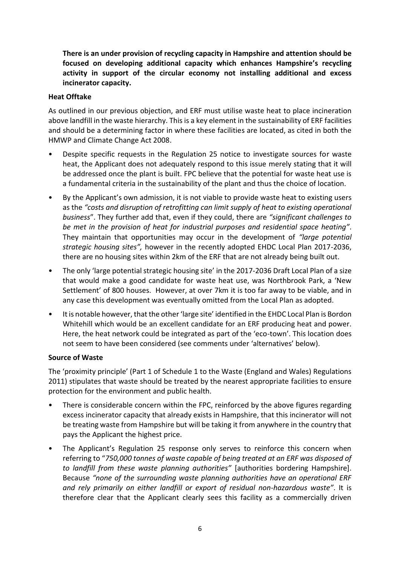**There is an under provision of recycling capacity in Hampshire and attention should be focused on developing additional capacity which enhances Hampshire's recycling activity in support of the circular economy not installing additional and excess incinerator capacity.** 

### **Heat Offtake**

As outlined in our previous objection, and ERF must utilise waste heat to place incineration above landfill in the waste hierarchy. This is a key element in the sustainability of ERF facilities and should be a determining factor in where these facilities are located, as cited in both the HMWP and Climate Change Act 2008.

- Despite specific requests in the Regulation 25 notice to investigate sources for waste heat, the Applicant does not adequately respond to this issue merely stating that it will be addressed once the plant is built. FPC believe that the potential for waste heat use is a fundamental criteria in the sustainability of the plant and thus the choice of location.
- By the Applicant's own admission, it is not viable to provide waste heat to existing users as the *"costs and disruption of retrofitting can limit supply of heat to existing operational business*". They further add that, even if they could, there are *"significant challenges to be met in the provision of heat for industrial purposes and residential space heating"*. They maintain that opportunities may occur in the development of *"large potential strategic housing sites",* however in the recently adopted EHDC Local Plan 2017-2036, there are no housing sites within 2km of the ERF that are not already being built out.
- The only 'large potential strategic housing site' in the 2017-2036 Draft Local Plan of a size that would make a good candidate for waste heat use, was Northbrook Park, a 'New Settlement' of 800 houses. However, at over 7km it is too far away to be viable, and in any case this development was eventually omitted from the Local Plan as adopted.
- It is notable however, that the other 'large site' identified in the EHDC Local Plan is Bordon Whitehill which would be an excellent candidate for an ERF producing heat and power. Here, the heat network could be integrated as part of the 'eco-town'. This location does not seem to have been considered (see comments under 'alternatives' below).

#### **Source of Waste**

The 'proximity principle' (Part 1 of Schedule 1 to the Waste (England and Wales) Regulations 2011) stipulates that waste should be treated by the nearest appropriate facilities to ensure protection for the environment and public health.

- There is considerable concern within the FPC, reinforced by the above figures regarding excess incinerator capacity that already exists in Hampshire, that this incinerator will not be treating waste from Hampshire but will be taking it from anywhere in the country that pays the Applicant the highest price.
- The Applicant's Regulation 25 response only serves to reinforce this concern when referring to "*750,000 tonnes of waste capable of being treated at an ERF was disposed of to landfill from these waste planning authorities"* [authorities bordering Hampshire]. Because *"none of the surrounding waste planning authorities have an operational ERF and rely primarily on either landfill or export of residual non-hazardous waste"*. It is therefore clear that the Applicant clearly sees this facility as a commercially driven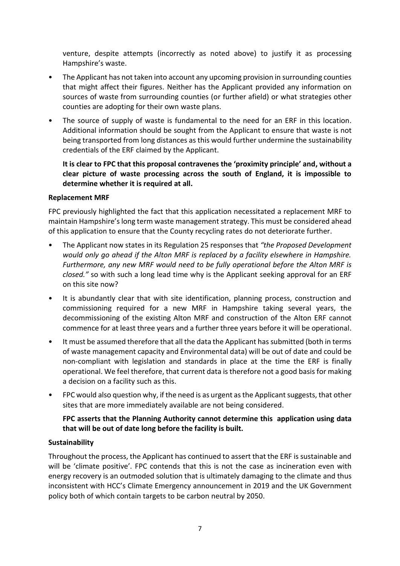venture, despite attempts (incorrectly as noted above) to justify it as processing Hampshire's waste.

- The Applicant has not taken into account any upcoming provision in surrounding counties that might affect their figures. Neither has the Applicant provided any information on sources of waste from surrounding counties (or further afield) or what strategies other counties are adopting for their own waste plans.
- The source of supply of waste is fundamental to the need for an ERF in this location. Additional information should be sought from the Applicant to ensure that waste is not being transported from long distances as this would further undermine the sustainability credentials of the ERF claimed by the Applicant.

**It is clear to FPC that this proposal contravenes the 'proximity principle' and, without a clear picture of waste processing across the south of England, it is impossible to determine whether it is required at all.**

### **Replacement MRF**

FPC previously highlighted the fact that this application necessitated a replacement MRF to maintain Hampshire's long term waste management strategy. This must be considered ahead of this application to ensure that the County recycling rates do not deteriorate further.

- The Applicant now states in its Regulation 25 responses that *"the Proposed Development would only go ahead if the Alton MRF is replaced by a facility elsewhere in Hampshire. Furthermore, any new MRF would need to be fully operational before the Alton MRF is closed."* so with such a long lead time why is the Applicant seeking approval for an ERF on this site now?
- It is abundantly clear that with site identification, planning process, construction and commissioning required for a new MRF in Hampshire taking several years, the decommissioning of the existing Alton MRF and construction of the Alton ERF cannot commence for at least three years and a further three years before it will be operational.
- It must be assumed therefore that all the data the Applicant has submitted (both in terms of waste management capacity and Environmental data) will be out of date and could be non-compliant with legislation and standards in place at the time the ERF is finally operational. We feel therefore, that current data is therefore not a good basis for making a decision on a facility such as this.
- FPC would also question why, if the need is as urgent as the Applicant suggests, that other sites that are more immediately available are not being considered.

# **FPC asserts that the Planning Authority cannot determine this application using data that will be out of date long before the facility is built.**

# **Sustainability**

Throughout the process, the Applicant has continued to assert that the ERF is sustainable and will be 'climate positive'. FPC contends that this is not the case as incineration even with energy recovery is an outmoded solution that is ultimately damaging to the climate and thus inconsistent with HCC's Climate Emergency announcement in 2019 and the UK Government policy both of which contain targets to be carbon neutral by 2050.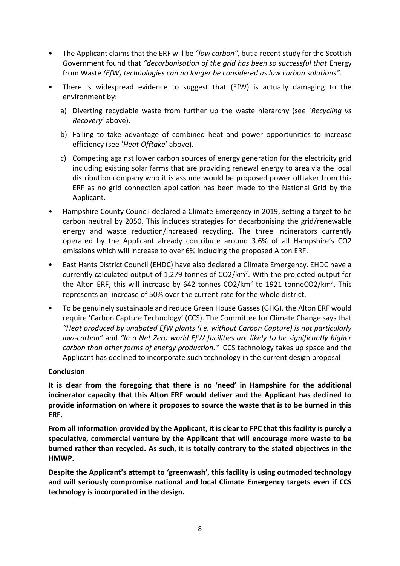- The Applicant claims that the ERF will be *"low carbon",* but a recent study for the Scottish Government found that *"decarbonisation of the grid has been so successful that* Energy from Waste *(EfW) technologies can no longer be considered as low carbon solutions".*
- There is widespread evidence to suggest that (EfW) is actually damaging to the environment by:
	- a) Diverting recyclable waste from further up the waste hierarchy (see '*Recycling vs Recovery*' above).
	- b) Failing to take advantage of combined heat and power opportunities to increase efficiency (see '*Heat Offtake*' above).
	- c) Competing against lower carbon sources of energy generation for the electricity grid including existing solar farms that are providing renewal energy to area via the local distribution company who it is assume would be proposed power offtaker from this ERF as no grid connection application has been made to the National Grid by the Applicant.
- Hampshire County Council declared a Climate Emergency in 2019, setting a target to be carbon neutral by 2050. This includes strategies for decarbonising the grid/renewable energy and waste reduction/increased recycling. The three incinerators currently operated by the Applicant already contribute around 3.6% of all Hampshire's CO2 emissions which will increase to over 6% including the proposed Alton ERF.
- East Hants District Council (EHDC) have also declared a Climate Emergency. EHDC have a currently calculated output of 1,279 tonnes of CO2/km<sup>2</sup>. With the projected output for the Alton ERF, this will increase by 642 tonnes CO2/km<sup>2</sup> to 1921 tonneCO2/km<sup>2</sup>. This represents an increase of 50% over the current rate for the whole district.
- To be genuinely sustainable and reduce Green House Gasses (GHG), the Alton ERF would require 'Carbon Capture Technology' (CCS). The Committee for Climate Change says that *"Heat produced by unabated EfW plants (i.e. without Carbon Capture) is not particularly low-carbon"* and *"In a Net Zero world EfW facilities are likely to be significantly higher carbon than other forms of energy production."* CCS technology takes up space and the Applicant has declined to incorporate such technology in the current design proposal.

# **Conclusion**

**It is clear from the foregoing that there is no 'need' in Hampshire for the additional incinerator capacity that this Alton ERF would deliver and the Applicant has declined to provide information on where it proposes to source the waste that is to be burned in this ERF.**

**From all information provided by the Applicant, it is clear to FPC that this facility is purely a speculative, commercial venture by the Applicant that will encourage more waste to be burned rather than recycled. As such, it is totally contrary to the stated objectives in the HMWP.**

**Despite the Applicant's attempt to 'greenwash', this facility is using outmoded technology and will seriously compromise national and local Climate Emergency targets even if CCS technology is incorporated in the design.**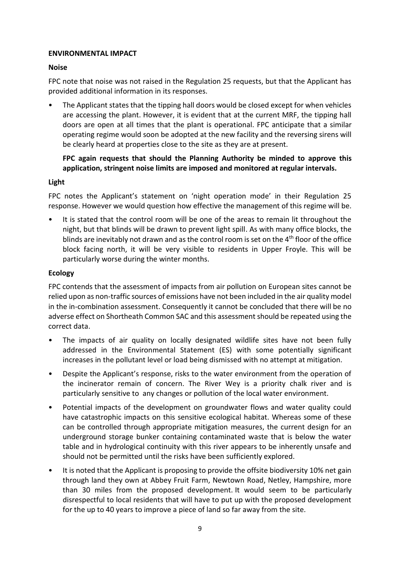### **ENVIRONMENTAL IMPACT**

### **Noise**

FPC note that noise was not raised in the Regulation 25 requests, but that the Applicant has provided additional information in its responses.

• The Applicant states that the tipping hall doors would be closed except for when vehicles are accessing the plant. However, it is evident that at the current MRF, the tipping hall doors are open at all times that the plant is operational. FPC anticipate that a similar operating regime would soon be adopted at the new facility and the reversing sirens will be clearly heard at properties close to the site as they are at present.

# **FPC again requests that should the Planning Authority be minded to approve this application, stringent noise limits are imposed and monitored at regular intervals.**

### **Light**

FPC notes the Applicant's statement on 'night operation mode' in their Regulation 25 response. However we would question how effective the management of this regime will be.

It is stated that the control room will be one of the areas to remain lit throughout the night, but that blinds will be drawn to prevent light spill. As with many office blocks, the blinds are inevitably not drawn and as the control room is set on the  $4<sup>th</sup>$  floor of the office block facing north, it will be very visible to residents in Upper Froyle. This will be particularly worse during the winter months.

# **Ecology**

FPC contends that the assessment of impacts from air pollution on European sites cannot be relied upon as non-traffic sources of emissions have not been included in the air quality model in the in-combination assessment. Consequently it cannot be concluded that there will be no adverse effect on Shortheath Common SAC and this assessment should be repeated using the correct data.

- The impacts of air quality on locally designated wildlife sites have not been fully addressed in the Environmental Statement (ES) with some potentially significant increases in the pollutant level or load being dismissed with no attempt at mitigation.
- Despite the Applicant's response, risks to the water environment from the operation of the incinerator remain of concern. The River Wey is a priority chalk river and is particularly sensitive to any changes or pollution of the local water environment.
- Potential impacts of the development on groundwater flows and water quality could have catastrophic impacts on this sensitive ecological habitat. Whereas some of these can be controlled through appropriate mitigation measures, the current design for an underground storage bunker containing contaminated waste that is below the water table and in hydrological continuity with this river appears to be inherently unsafe and should not be permitted until the risks have been sufficiently explored.
- It is noted that the Applicant is proposing to provide the offsite biodiversity 10% net gain through land they own at Abbey Fruit Farm, Newtown Road, Netley, Hampshire, more than 30 miles from the proposed development. It would seem to be particularly disrespectful to local residents that will have to put up with the proposed development for the up to 40 years to improve a piece of land so far away from the site.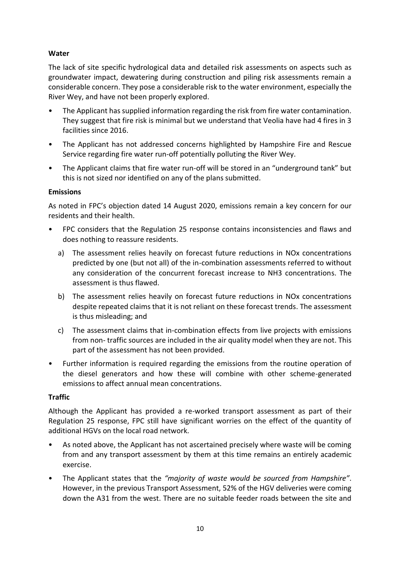# **Water**

The lack of site specific hydrological data and detailed risk assessments on aspects such as groundwater impact, dewatering during construction and piling risk assessments remain a considerable concern. They pose a considerable risk to the water environment, especially the River Wey, and have not been properly explored.

- The Applicant has supplied information regarding the risk from fire water contamination. They suggest that fire risk is minimal but we understand that Veolia have had 4 fires in 3 facilities since 2016.
- The Applicant has not addressed concerns highlighted by Hampshire Fire and Rescue Service regarding fire water run-off potentially polluting the River Wey.
- The Applicant claims that fire water run-off will be stored in an "underground tank" but this is not sized nor identified on any of the plans submitted.

### **Emissions**

As noted in FPC's objection dated 14 August 2020, emissions remain a key concern for our residents and their health.

- FPC considers that the Regulation 25 response contains inconsistencies and flaws and does nothing to reassure residents.
	- a) The assessment relies heavily on forecast future reductions in NOx concentrations predicted by one (but not all) of the in-combination assessments referred to without any consideration of the concurrent forecast increase to NH3 concentrations. The assessment is thus flawed.
	- b) The assessment relies heavily on forecast future reductions in NOx concentrations despite repeated claims that it is not reliant on these forecast trends. The assessment is thus misleading; and
	- c) The assessment claims that in-combination effects from live projects with emissions from non- traffic sources are included in the air quality model when they are not. This part of the assessment has not been provided.
- Further information is required regarding the emissions from the routine operation of the diesel generators and how these will combine with other scheme-generated emissions to affect annual mean concentrations.

# **Traffic**

Although the Applicant has provided a re-worked transport assessment as part of their Regulation 25 response, FPC still have significant worries on the effect of the quantity of additional HGVs on the local road network.

- As noted above, the Applicant has not ascertained precisely where waste will be coming from and any transport assessment by them at this time remains an entirely academic exercise.
- The Applicant states that the *"majority of waste would be sourced from Hampshire"*. However, in the previous Transport Assessment, 52% of the HGV deliveries were coming down the A31 from the west. There are no suitable feeder roads between the site and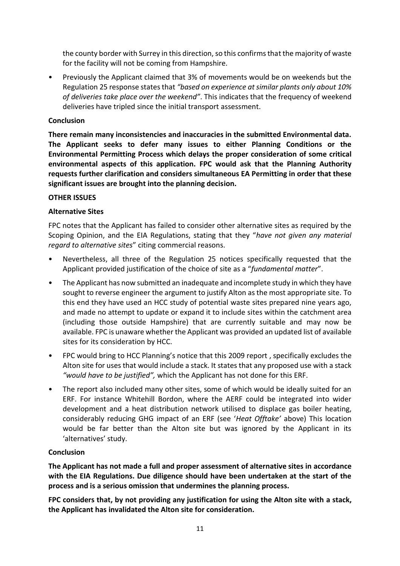the county border with Surrey in this direction, so this confirms that the majority of waste for the facility will not be coming from Hampshire.

• Previously the Applicant claimed that 3% of movements would be on weekends but the Regulation 25 response states that *"based on experience at similar plants only about 10% of deliveries take place over the weekend"*. This indicates that the frequency of weekend deliveries have tripled since the initial transport assessment.

#### **Conclusion**

**There remain many inconsistencies and inaccuracies in the submitted Environmental data. The Applicant seeks to defer many issues to either Planning Conditions or the Environmental Permitting Process which delays the proper consideration of some critical environmental aspects of this application. FPC would ask that the Planning Authority requests further clarification and considers simultaneous EA Permitting in order that these significant issues are brought into the planning decision.**

#### **OTHER ISSUES**

### **Alternative Sites**

FPC notes that the Applicant has failed to consider other alternative sites as required by the Scoping Opinion, and the EIA Regulations, stating that they "*have not given any material regard to alternative sites*" citing commercial reasons.

- Nevertheless, all three of the Regulation 25 notices specifically requested that the Applicant provided justification of the choice of site as a "*fundamental matter*".
- The Applicant has now submitted an inadequate and incomplete study in which they have sought to reverse engineer the argument to justify Alton as the most appropriate site. To this end they have used an HCC study of potential waste sites prepared nine years ago, and made no attempt to update or expand it to include sites within the catchment area (including those outside Hampshire) that are currently suitable and may now be available. FPC is unaware whether the Applicant was provided an updated list of available sites for its consideration by HCC.
- FPC would bring to HCC Planning's notice that this 2009 report , specifically excludes the Alton site for uses that would include a stack. It states that any proposed use with a stack *"would have to be justified",* which the Applicant has not done for this ERF.
- The report also included many other sites, some of which would be ideally suited for an ERF. For instance Whitehill Bordon, where the AERF could be integrated into wider development and a heat distribution network utilised to displace gas boiler heating, considerably reducing GHG impact of an ERF (see '*Heat Offtake'* above) This location would be far better than the Alton site but was ignored by the Applicant in its 'alternatives' study.

# **Conclusion**

**The Applicant has not made a full and proper assessment of alternative sites in accordance with the EIA Regulations. Due diligence should have been undertaken at the start of the process and is a serious omission that undermines the planning process.** 

**FPC considers that, by not providing any justification for using the Alton site with a stack, the Applicant has invalidated the Alton site for consideration.**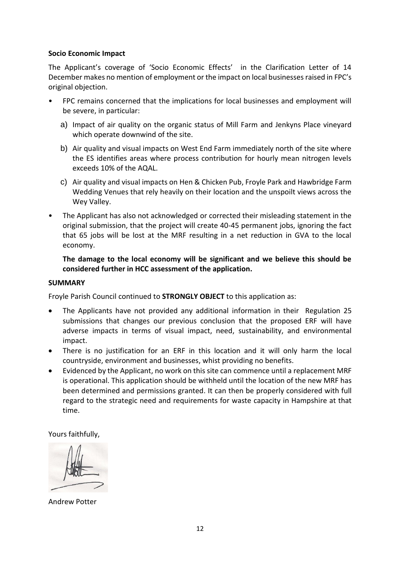#### **Socio Economic Impact**

The Applicant's coverage of 'Socio Economic Effects' in the Clarification Letter of 14 December makes no mention of employment or the impact on local businesses raised in FPC's original objection.

- FPC remains concerned that the implications for local businesses and employment will be severe, in particular:
	- a) Impact of air quality on the organic status of Mill Farm and Jenkyns Place vineyard which operate downwind of the site.
	- b) Air quality and visual impacts on West End Farm immediately north of the site where the ES identifies areas where process contribution for hourly mean nitrogen levels exceeds 10% of the AQAL.
	- c) Air quality and visual impacts on Hen & Chicken Pub, Froyle Park and Hawbridge Farm Wedding Venues that rely heavily on their location and the unspoilt views across the Wey Valley.
- The Applicant has also not acknowledged or corrected their misleading statement in the original submission, that the project will create 40-45 permanent jobs, ignoring the fact that 65 jobs will be lost at the MRF resulting in a net reduction in GVA to the local economy.

**The damage to the local economy will be significant and we believe this should be considered further in HCC assessment of the application.**

#### **SUMMARY**

Froyle Parish Council continued to **STRONGLY OBJECT** to this application as:

- The Applicants have not provided any additional information in their Regulation 25 submissions that changes our previous conclusion that the proposed ERF will have adverse impacts in terms of visual impact, need, sustainability, and environmental impact.
- There is no justification for an ERF in this location and it will only harm the local countryside, environment and businesses, whist providing no benefits.
- Evidenced by the Applicant, no work on this site can commence until a replacement MRF is operational. This application should be withheld until the location of the new MRF has been determined and permissions granted. It can then be properly considered with full regard to the strategic need and requirements for waste capacity in Hampshire at that time.

Yours faithfully,

Andrew Potter